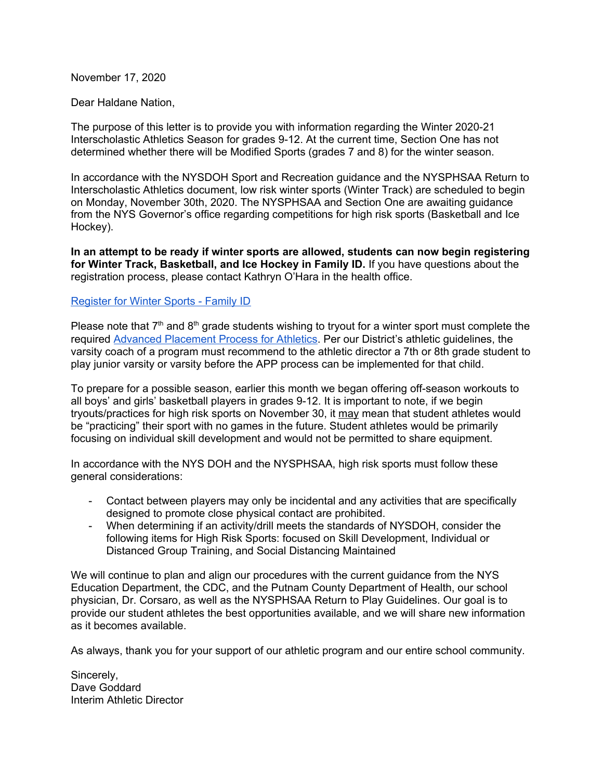November 17, 2020

Dear Haldane Nation,

The purpose of this letter is to provide you with information regarding the Winter 2020-21 Interscholastic Athletics Season for grades 9-12. At the current time, Section One has not determined whether there will be Modified Sports (grades 7 and 8) for the winter season.

In accordance with the NYSDOH Sport and Recreation guidance and the NYSPHSAA Return to Interscholastic Athletics document, low risk winter sports (Winter Track) are scheduled to begin on Monday, November 30th, 2020. The NYSPHSAA and Section One are awaiting guidance from the NYS Governor's office regarding competitions for high risk sports (Basketball and Ice Hockey).

**In an attempt to be ready if winter sports are allowed, students can now begin registering for Winter Track, Basketball, and Ice Hockey in Family ID.** If you have questions about the registration process, please contact Kathryn O'Hara in the health office.

## [Register](https://www.familyid.com/organizations/haldane-csd-athletics) for Winter Sports - Family ID

Please note that  $7<sup>th</sup>$  and  $8<sup>th</sup>$  grade students wishing to tryout for a winter sport must complete the required Advanced [Placement](http://www.p12.nysed.gov/sss/documents/AthleticPlacementProcess12-11-17FINALRevised.pdf) Process for Athletics. Per our District's athletic guidelines, the varsity coach of a program must recommend to the athletic director a 7th or 8th grade student to play junior varsity or varsity before the APP process can be implemented for that child.

To prepare for a possible season, earlier this month we began offering off-season workouts to all boys' and girls' basketball players in grades 9-12. It is important to note, if we begin tryouts/practices for high risk sports on November 30, it may mean that student athletes would be "practicing" their sport with no games in the future. Student athletes would be primarily focusing on individual skill development and would not be permitted to share equipment.

In accordance with the NYS DOH and the NYSPHSAA, high risk sports must follow these general considerations:

- Contact between players may only be incidental and any activities that are specifically designed to promote close physical contact are prohibited.
- When determining if an activity/drill meets the standards of NYSDOH, consider the following items for High Risk Sports: focused on Skill Development, Individual or Distanced Group Training, and Social Distancing Maintained

We will continue to plan and align our procedures with the current guidance from the NYS Education Department, the CDC, and the Putnam County Department of Health, our school physician, Dr. Corsaro, as well as the NYSPHSAA Return to Play Guidelines. Our goal is to provide our student athletes the best opportunities available, and we will share new information as it becomes available.

As always, thank you for your support of our athletic program and our entire school community.

Sincerely, Dave Goddard Interim Athletic Director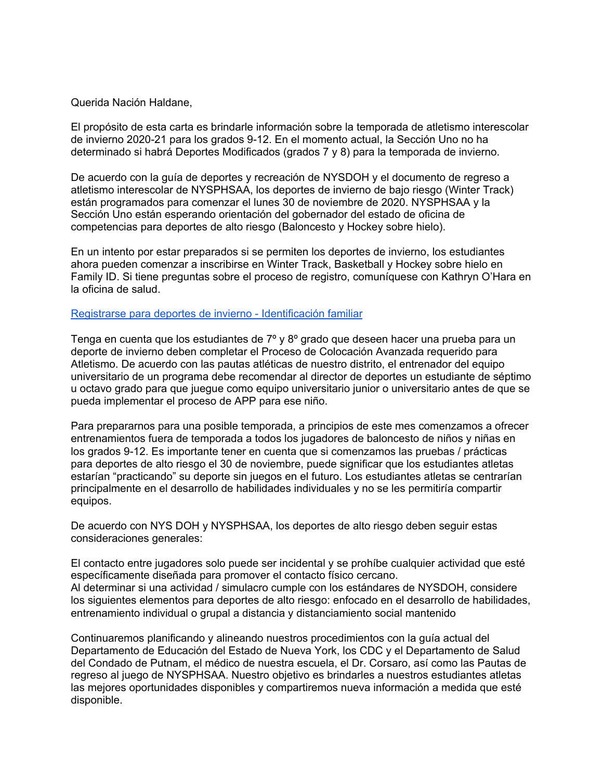## Querida Nación Haldane,

El propósito de esta carta es brindarle información sobre la temporada de atletismo interescolar de invierno 2020-21 para los grados 9-12. En el momento actual, la Sección Uno no ha determinado si habrá Deportes Modificados (grados 7 y 8) para la temporada de invierno.

De acuerdo con la guía de deportes y recreación de NYSDOH y el documento de regreso a atletismo interescolar de NYSPHSAA, los deportes de invierno de bajo riesgo (Winter Track) están programados para comenzar el lunes 30 de noviembre de 2020. NYSPHSAA y la Sección Uno están esperando orientación del gobernador del estado de oficina de competencias para deportes de alto riesgo (Baloncesto y Hockey sobre hielo).

En un intento por estar preparados si se permiten los deportes de invierno, los estudiantes ahora pueden comenzar a inscribirse en Winter Track, Basketball y Hockey sobre hielo en Family ID. Si tiene preguntas sobre el proceso de registro, comuníquese con Kathryn O'Hara en la oficina de salud.

## Registrarse para deportes de invierno - [Identificación](https://www.familyid.com/organizations/haldane-csd-athletics) familiar

Tenga en cuenta que los estudiantes de 7º y 8º grado que deseen hacer una prueba para un deporte de invierno deben completar el Proceso de Colocación Avanzada requerido para Atletismo. De acuerdo con las pautas atléticas de nuestro distrito, el entrenador del equipo universitario de un programa debe recomendar al director de deportes un estudiante de séptimo u octavo grado para que juegue como equipo universitario junior o universitario antes de que se pueda implementar el proceso de APP para ese niño.

Para prepararnos para una posible temporada, a principios de este mes comenzamos a ofrecer entrenamientos fuera de temporada a todos los jugadores de baloncesto de niños y niñas en los grados 9-12. Es importante tener en cuenta que si comenzamos las pruebas / prácticas para deportes de alto riesgo el 30 de noviembre, puede significar que los estudiantes atletas estarían "practicando" su deporte sin juegos en el futuro. Los estudiantes atletas se centrarían principalmente en el desarrollo de habilidades individuales y no se les permitiría compartir equipos.

De acuerdo con NYS DOH y NYSPHSAA, los deportes de alto riesgo deben seguir estas consideraciones generales:

El contacto entre jugadores solo puede ser incidental y se prohíbe cualquier actividad que esté específicamente diseñada para promover el contacto físico cercano. Al determinar si una actividad / simulacro cumple con los estándares de NYSDOH, considere los siguientes elementos para deportes de alto riesgo: enfocado en el desarrollo de habilidades, entrenamiento individual o grupal a distancia y distanciamiento social mantenido

Continuaremos planificando y alineando nuestros procedimientos con la guía actual del Departamento de Educación del Estado de Nueva York, los CDC y el Departamento de Salud del Condado de Putnam, el médico de nuestra escuela, el Dr. Corsaro, así como las Pautas de regreso al juego de NYSPHSAA. Nuestro objetivo es brindarles a nuestros estudiantes atletas las mejores oportunidades disponibles y compartiremos nueva información a medida que esté disponible.